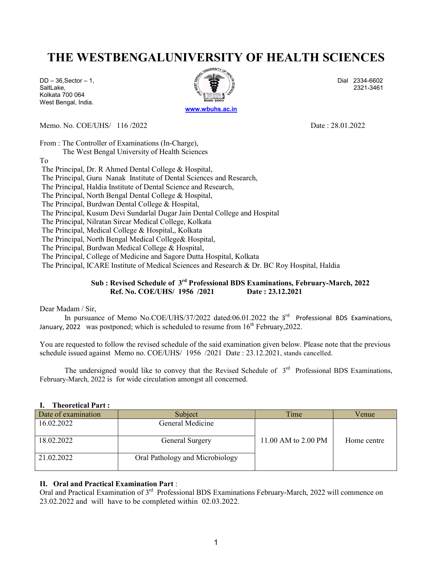## THE WESTBENGALUNIVERSITY OF HEALTH SCIENCES

Kolkata 700 064 West Bengal, India.



Memo. No. COE/UHS/ 116 /2022 Date : 28.01.2022

From : The Controller of Examinations (In-Charge),

The West Bengal University of Health Sciences

To

The Principal, Dr. R Ahmed Dental College & Hospital,

The Principal, Guru Nanak Institute of Dental Sciences and Research,

The Principal, Haldia Institute of Dental Science and Research,

The Principal, North Bengal Dental College & Hospital,

The Principal, Burdwan Dental College & Hospital,

The Principal, Kusum Devi Sundarlal Dugar Jain Dental College and Hospital

The Principal, Nilratan Sircar Medical College, Kolkata

The Principal, Medical College & Hospital,, Kolkata

The Principal, North Bengal Medical College& Hospital,

The Principal, Burdwan Medical College & Hospital,

The Principal, College of Medicine and Sagore Dutta Hospital, Kolkata

The Principal, ICARE Institute of Medical Sciences and Research & Dr. BC Roy Hospital, Haldia

## Sub : Revised Schedule of 3rd Professional BDS Examinations, February-March, 2022 Ref. No. COE/UHS/ 1956 /2021 Date : 23.12.2021

Dear Madam / Sir,

In pursuance of Memo No.COE/UHS/37/2022 dated:06.01.2022 the  $3<sup>rd</sup>$  Professional BDS Examinations, January, 2022 was postponed; which is scheduled to resume from  $16<sup>th</sup>$  February, 2022.

You are requested to follow the revised schedule of the said examination given below. Please note that the previous schedule issued against Memo no. COE/UHS/ 1956 /2021 Date : 23.12.2021, stands cancelled.

The undersigned would like to convey that the Revised Schedule of  $3<sup>rd</sup>$  Professional BDS Examinations, February-March, 2022 is for wide circulation amongst all concerned.

#### I. Theoretical Part :

| Date of examination | Subject                         | Time                | Venue       |
|---------------------|---------------------------------|---------------------|-------------|
| 16.02.2022          | General Medicine                |                     |             |
| 18.02.2022          | General Surgery                 | 11.00 AM to 2.00 PM | Home centre |
| 21.02.2022          | Oral Pathology and Microbiology |                     |             |

### II. Oral and Practical Examination Part :

Oral and Practical Examination of 3<sup>rd</sup> Professional BDS Examinations February-March, 2022 will commence on 23.02.2022 and will have to be completed within 02.03.2022.